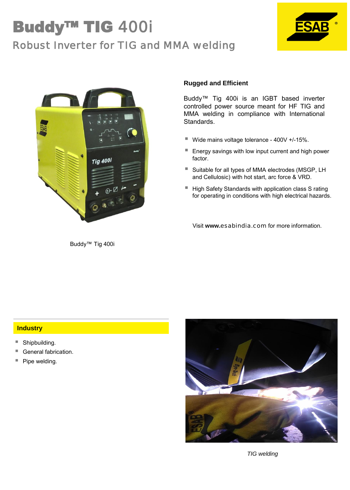## Buddy™ TIG 400i Robust Inverter for TIG and MMA welding





Buddy™ Tig 400i

### **Rugged and Efficient**

Buddy™ Tig 400i is an IGBT based inverter controlled power source meant for HF TIG and MMA welding in compliance with International Standards.

- Wide mains voltage tolerance 400V +/-15%.
- Energy savings with low input current and high power factor.
- Suitable for all types of MMA electrodes (MSGP, LH and Cellulosic) with hot start, arc force & VRD.
- High Safety Standards with application class S rating for operating in conditions with high electrical hazards.

Visit **www.**esabindia.com for more information.

### **Industry**

- Shipbuilding.
- General fabrication.
- Pipe welding.



*TIG welding*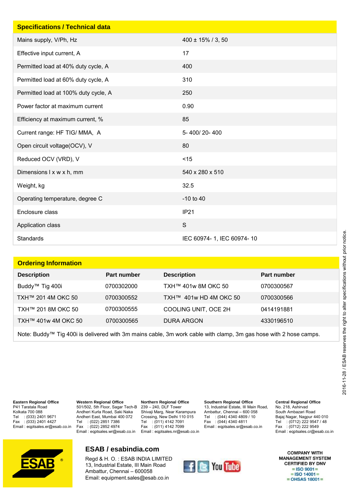| <b>Specifications / Technical data</b> |                           |
|----------------------------------------|---------------------------|
| Mains supply, V/Ph, Hz                 | $400 \pm 15\%$ / 3, 50    |
| Effective input current, A             | 17                        |
| Permitted load at 40% duty cycle, A    | 400                       |
| Permitted load at 60% duty cycle, A    | 310                       |
| Permitted load at 100% duty cycle, A   | 250                       |
| Power factor at maximum current        | 0.90                      |
| Efficiency at maximum current, %       | 85                        |
| Current range: HF TIG/MMA, A           | 5-400/20-400              |
| Open circuit voltage(OCV), V           | 80                        |
| Reduced OCV (VRD), V                   | < 15                      |
| Dimensions I x w x h, mm               | 540 x 280 x 510           |
| Weight, kg                             | 32.5                      |
| Operating temperature, degree C        | $-10$ to $40$             |
| Enclosure class                        | IP <sub>21</sub>          |
| Application class                      | $\mathsf{S}$              |
| <b>Standards</b>                       | IEC 60974-1, IEC 60974-10 |

| <b>Ordering Information</b> |             |                        |             |
|-----------------------------|-------------|------------------------|-------------|
| <b>Description</b>          | Part number | <b>Description</b>     | Part number |
| Buddy™ Tig 400i             | 0700302000  | TXH™ 401w 8M OKC 50    | 0700300567  |
| TXH™ 201 4M OKC 50          | 0700300552  | TXH™ 401w HD 4M OKC 50 | 0700300566  |
| TXH™ 201 8M OKC 50          | 0700300555  | COOLING UNIT, OCE 2H   | 0414191881  |
| TXH™ 401w 4M OKC 50         | 0700300565  | DURA ARGON             | 4330196510  |
|                             |             |                        |             |

Note: Buddy™ Tig 400i is delivered with 3m mains cable, 3m work cable with clamp, 3m gas hose with 2 hose camps.

**Eastern Regional Office** P41 Taratala Road Kolkata 700 088 Tel : (033) 2401 9671<br>Fax : (033) 2401 4427  $:(033)$  2401 4427 Email : eqptsales.er@esab.co.in

**Western Regional Office** 501/502, 5th Floor, Sagar Tech-B Andheri Kurla Road, Saki Naka Andheri East, Mumbai 400 072 Tel : (022) 2851 7386 Fax : (022) 2852 4974 Email : eqptsales.wr@esab.co.in

**Northern Regional Office** 239 – 240, DLF Tower Shivaji Marg, Near Karampura Crossing, New Delhi 110 015 Tel : (011) 4142 7091 Fax : (011) 4142 7099 Email : eqptsales.nr@esab.co.in **Southern Regional Office** 13, Industrial Estate, III Main Road, Ambattur, Chennai – 600 058<br>Tel : (044) 4340 4809 / 10 Tel : (044) 4340 4809 / 10<br>Fax : (044) 4340 4811  $: (044)$  4340 4811 Email : eqptsales.sr@esab.co.in



South Ambazari Road Bajaj Nagar, Nagpur 440 010 Tel : (0712) 222 9547 / 48 Fax : (0712) 222 9549 Email : eqptsales.cr@esab.co.in



### **ESAB / esabindia.com**

Regd & H. O. : ESAB INDIA LIMITED 13, Industrial Estate, III Main Road Ambattur, Chennai – 600058 Email: equipment.sales@esab.co.in



**COMPANY WITH MANAGEMENT SYSTEM CERTIFIED BY DNV**  $=$  ISO 9001 $=$  $=$  ISO 14001 $=$  $=$  OHSAS 18001 $=$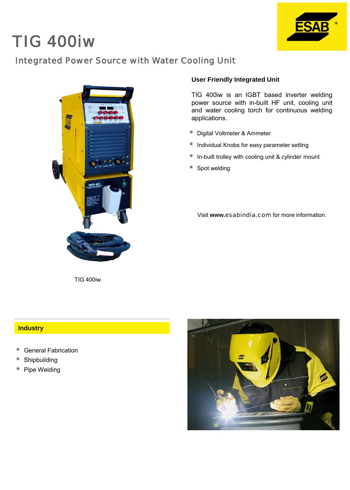# TIG 400iw



### Integrated Power Source with Water Cooling Unit



TIG 400iw

### **User Friendly Integrated Unit**

TIG 400iw is an IGBT based inverter welding power source with in-built HF unit, cooling unit and water cooling torch for continuous welding applications.

- Digital Voltmeter & Ammeter
- Individual Knobs for easy parameter setting
- $\blacksquare$  In-built trolley with cooling unit & cylinder mount
- Spot welding

Visit **www.**esabindia.com for more information.

#### **Industry**

- General Fabrication
- Shipbuilding
- Pipe Welding